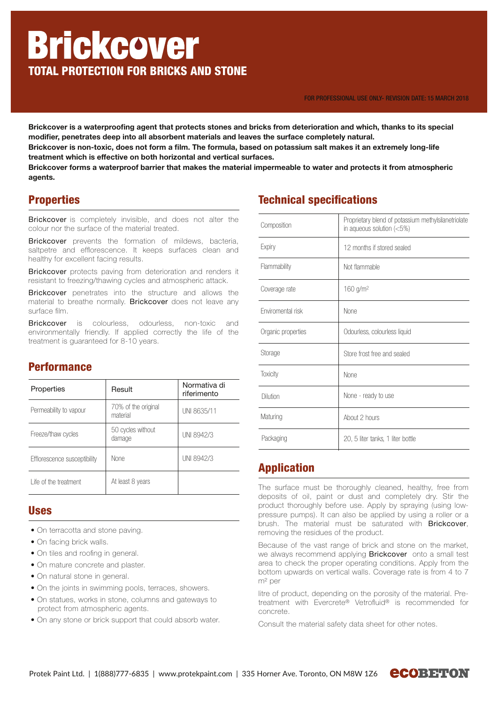# **Brickcover** TOTAL PROTECTION FOR BRICKS AND STONE

Brickcover is a waterproofing agent that protects stones and bricks from deterioration and which, thanks to its special modifier, penetrates deep into all absorbent materials and leaves the surface completely natural. Brickcover is non-toxic, does not form a film. The formula, based on potassium salt makes it an extremely long-life treatment which is effective on both horizontal and vertical surfaces.

Brickcover forms a waterproof barrier that makes the material impermeable to water and protects it from atmospheric agents.

# **Properties**

Brickcover is completely invisible, and does not alter the colour nor the surface of the material treated.

Brickcover prevents the formation of mildews, bacteria, saltpetre and efflorescence. It keeps surfaces clean and healthy for excellent facing results.

Brickcover protects paving from deterioration and renders it resistant to freezing/thawing cycles and atmospheric attack.

**Brickcover** penetrates into the structure and allows the material to breathe normally. Brickcover does not leave any surface film.

Brickcover is colourless, odourless, non-toxic and environmentally friendly. If applied correctly the life of the treatment is guaranteed for 8-10 years.

# **Performance**

| Properties                   | Result                          | Normativa di<br>riferimento |
|------------------------------|---------------------------------|-----------------------------|
| Permeability to vapour       | 70% of the original<br>material | UNI 8635/11                 |
| Freeze/thaw cycles           | 50 cycles without<br>damage     | UNI 8942/3                  |
| Efflorescence susceptibility | <b>None</b>                     | UNI 8942/3                  |
| I ife of the treatment       | At least 8 years                |                             |

### Uses

- On terracotta and stone paving.
- On facing brick walls.
- On tiles and roofing in general.
- On mature concrete and plaster.
- On natural stone in general.
- On the joints in swimming pools, terraces, showers.
- On statues, works in stone, columns and gateways to protect from atmospheric agents.
- On any stone or brick support that could absorb water.

# Technical specifications

| Composition        | Proprietary blend of potassium methylsilanetriolate<br>in aqueous solution $(<5\%)$ |  |
|--------------------|-------------------------------------------------------------------------------------|--|
| Expiry             | 12 months if stored sealed                                                          |  |
| Flammability       | Not flammable                                                                       |  |
| Coverage rate      | 160 g/m <sup>2</sup>                                                                |  |
| Fnviromental risk  | <b>None</b>                                                                         |  |
| Organic properties | Odourless, colourless liquid                                                        |  |
| Storage            | Store frost free and sealed                                                         |  |
| Toxicity           | None                                                                                |  |
| Dilution           | None - ready to use                                                                 |  |
| Maturing           | About 2 hours                                                                       |  |
| Packaging          | 20, 5 liter tanks, 1 liter bottle                                                   |  |

# Application

The surface must be thoroughly cleaned, healthy, free from deposits of oil, paint or dust and completely dry. Stir the product thoroughly before use. Apply by spraying (using lowpressure pumps). It can also be applied by using a roller or a brush. The material must be saturated with Brickcover, removing the residues of the product.

Because of the vast range of brick and stone on the market, we always recommend applying **Brickcover** onto a small test area to check the proper operating conditions. Apply from the bottom upwards on vertical walls. Coverage rate is from 4 to 7 m² per

litre of product, depending on the porosity of the material. Pretreatment with Evercrete® Vetrofluid® is recommended for concrete.

Consult the material safety data sheet for other notes.